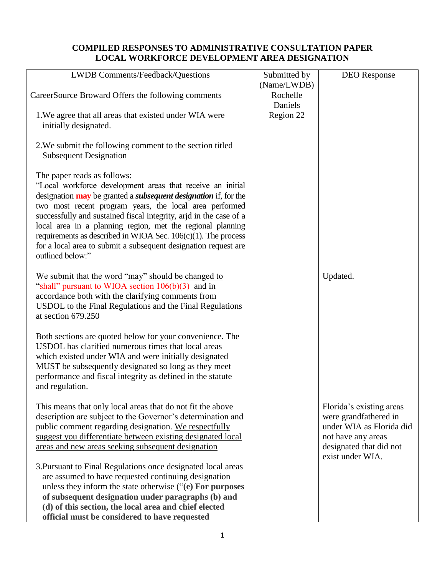## **COMPILED RESPONSES TO ADMINISTRATIVE CONSULTATION PAPER LOCAL WORKFORCE DEVELOPMENT AREA DESIGNATION**

| LWDB Comments/Feedback/Questions                                              | Submitted by | <b>DEO</b> Response      |
|-------------------------------------------------------------------------------|--------------|--------------------------|
|                                                                               | (Name/LWDB)  |                          |
| CareerSource Broward Offers the following comments                            | Rochelle     |                          |
|                                                                               | Daniels      |                          |
| 1. We agree that all areas that existed under WIA were                        | Region 22    |                          |
| initially designated.                                                         |              |                          |
|                                                                               |              |                          |
| 2. We submit the following comment to the section titled                      |              |                          |
| <b>Subsequent Designation</b>                                                 |              |                          |
|                                                                               |              |                          |
|                                                                               |              |                          |
| The paper reads as follows:                                                   |              |                          |
| "Local workforce development areas that receive an initial                    |              |                          |
| designation <b>may</b> be granted a <i>subsequent designation</i> if, for the |              |                          |
| two most recent program years, the local area performed                       |              |                          |
| successfully and sustained fiscal integrity, arjd in the case of a            |              |                          |
| local area in a planning region, met the regional planning                    |              |                          |
| requirements as described in WIOA Sec. $106(c)(1)$ . The process              |              |                          |
| for a local area to submit a subsequent designation request are               |              |                          |
| outlined below:"                                                              |              |                          |
|                                                                               |              |                          |
| We submit that the word "may" should be changed to                            |              | Updated.                 |
| "shall" pursuant to WIOA section $106(b)(3)$ and in                           |              |                          |
| accordance both with the clarifying comments from                             |              |                          |
| <b>USDOL</b> to the Final Regulations and the Final Regulations               |              |                          |
| at section $679.250$                                                          |              |                          |
|                                                                               |              |                          |
| Both sections are quoted below for your convenience. The                      |              |                          |
|                                                                               |              |                          |
| USDOL has clarified numerous times that local areas                           |              |                          |
| which existed under WIA and were initially designated                         |              |                          |
| MUST be subsequently designated so long as they meet                          |              |                          |
| performance and fiscal integrity as defined in the statute                    |              |                          |
| and regulation.                                                               |              |                          |
|                                                                               |              |                          |
| This means that only local areas that do not fit the above                    |              | Florida's existing areas |
| description are subject to the Governor's determination and                   |              | were grandfathered in    |
| public comment regarding designation. We respectfully                         |              | under WIA as Florida did |
| suggest you differentiate between existing designated local                   |              | not have any areas       |
| areas and new areas seeking subsequent designation                            |              | designated that did not  |
|                                                                               |              | exist under WIA.         |
| 3. Pursuant to Final Regulations once designated local areas                  |              |                          |
| are assumed to have requested continuing designation                          |              |                          |
|                                                                               |              |                          |
| unless they inform the state otherwise ("(e) For purposes                     |              |                          |
| of subsequent designation under paragraphs (b) and                            |              |                          |
| (d) of this section, the local area and chief elected                         |              |                          |
| official must be considered to have requested                                 |              |                          |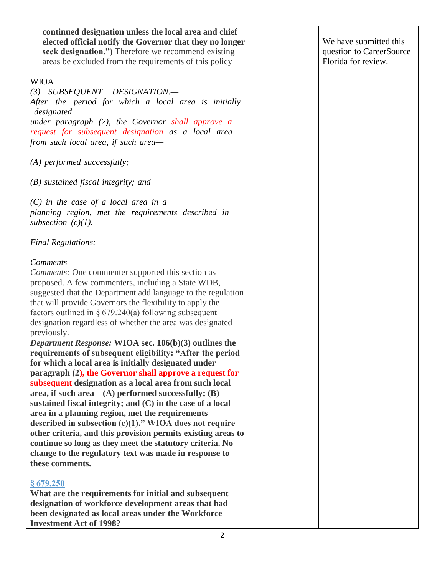| continued designation unless the local area and chief        |                          |
|--------------------------------------------------------------|--------------------------|
| elected official notify the Governor that they no longer     | We have submitted this   |
| seek designation.") Therefore we recommend existing          | question to CareerSource |
| areas be excluded from the requirements of this policy       | Florida for review.      |
|                                                              |                          |
| <b>WIOA</b>                                                  |                          |
| (3) SUBSEQUENT DESIGNATION.-                                 |                          |
| After the period for which a local area is initially         |                          |
| designated                                                   |                          |
| under paragraph $(2)$ , the Governor shall approve a         |                          |
| request for subsequent designation as a local area           |                          |
| from such local area, if such area-                          |                          |
|                                                              |                          |
| $(A)$ performed successfully;                                |                          |
|                                                              |                          |
| $(B)$ sustained fiscal integrity; and                        |                          |
|                                                              |                          |
| $(C)$ in the case of a local area in a                       |                          |
| planning region, met the requirements described in           |                          |
| subsection $(c)(1)$ .                                        |                          |
| <b>Final Regulations:</b>                                    |                          |
|                                                              |                          |
| <b>Comments</b>                                              |                          |
| <i>Comments:</i> One commenter supported this section as     |                          |
| proposed. A few commenters, including a State WDB,           |                          |
| suggested that the Department add language to the regulation |                          |
| that will provide Governors the flexibility to apply the     |                          |
| factors outlined in $\S 679.240(a)$ following subsequent     |                          |
| designation regardless of whether the area was designated    |                          |
| previously.                                                  |                          |
| Department Response: WIOA sec. 106(b)(3) outlines the        |                          |
| requirements of subsequent eligibility: "After the period    |                          |
| for which a local area is initially designated under         |                          |
| paragraph (2), the Governor shall approve a request for      |                          |
| subsequent designation as a local area from such local       |                          |
| area, if such area— $(A)$ performed successfully; $(B)$      |                          |
| sustained fiscal integrity; and $(C)$ in the case of a local |                          |
| area in a planning region, met the requirements              |                          |
| described in subsection $(c)(1)$ ." WIOA does not require    |                          |
| other criteria, and this provision permits existing areas to |                          |
| continue so long as they meet the statutory criteria. No     |                          |
| change to the regulatory text was made in response to        |                          |
| these comments.                                              |                          |
|                                                              |                          |
| §679.250                                                     |                          |
| What are the requirements for initial and subsequent         |                          |
| designation of workforce development areas that had          |                          |
| been designated as local areas under the Workforce           |                          |
| <b>Investment Act of 1998?</b>                               |                          |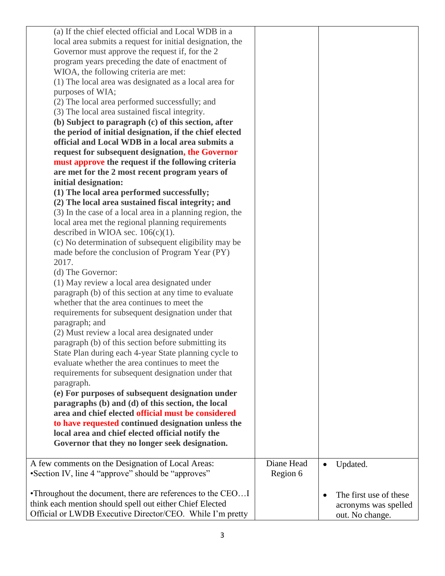| (a) If the chief elected official and Local WDB in a       |            |                                     |
|------------------------------------------------------------|------------|-------------------------------------|
| local area submits a request for initial designation, the  |            |                                     |
| Governor must approve the request if, for the 2            |            |                                     |
| program years preceding the date of enactment of           |            |                                     |
| WIOA, the following criteria are met:                      |            |                                     |
| (1) The local area was designated as a local area for      |            |                                     |
| purposes of WIA;                                           |            |                                     |
| (2) The local area performed successfully; and             |            |                                     |
| (3) The local area sustained fiscal integrity.             |            |                                     |
| (b) Subject to paragraph (c) of this section, after        |            |                                     |
| the period of initial designation, if the chief elected    |            |                                     |
| official and Local WDB in a local area submits a           |            |                                     |
| request for subsequent designation, the Governor           |            |                                     |
| must approve the request if the following criteria         |            |                                     |
| are met for the 2 most recent program years of             |            |                                     |
| initial designation:                                       |            |                                     |
| (1) The local area performed successfully;                 |            |                                     |
| (2) The local area sustained fiscal integrity; and         |            |                                     |
| (3) In the case of a local area in a planning region, the  |            |                                     |
| local area met the regional planning requirements          |            |                                     |
| described in WIOA sec. $106(c)(1)$ .                       |            |                                     |
| (c) No determination of subsequent eligibility may be      |            |                                     |
| made before the conclusion of Program Year (PY)            |            |                                     |
| 2017.                                                      |            |                                     |
| (d) The Governor:                                          |            |                                     |
| (1) May review a local area designated under               |            |                                     |
| paragraph (b) of this section at any time to evaluate      |            |                                     |
| whether that the area continues to meet the                |            |                                     |
| requirements for subsequent designation under that         |            |                                     |
| paragraph; and                                             |            |                                     |
| (2) Must review a local area designated under              |            |                                     |
| paragraph (b) of this section before submitting its        |            |                                     |
| State Plan during each 4-year State planning cycle to      |            |                                     |
| evaluate whether the area continues to meet the            |            |                                     |
| requirements for subsequent designation under that         |            |                                     |
| paragraph.                                                 |            |                                     |
| (e) For purposes of subsequent designation under           |            |                                     |
| paragraphs (b) and (d) of this section, the local          |            |                                     |
| area and chief elected official must be considered         |            |                                     |
| to have requested continued designation unless the         |            |                                     |
| local area and chief elected official notify the           |            |                                     |
| Governor that they no longer seek designation.             |            |                                     |
| A few comments on the Designation of Local Areas:          | Diane Head | Updated.<br>$\bullet$               |
| • Section IV, line 4 "approve" should be "approves"        | Region 6   |                                     |
|                                                            |            |                                     |
| •Throughout the document, there are references to the CEOI |            | The first use of these<br>$\bullet$ |
| think each mention should spell out either Chief Elected   |            | acronyms was spelled                |
| Official or LWDB Executive Director/CEO. While I'm pretty  |            | out. No change.                     |
|                                                            |            |                                     |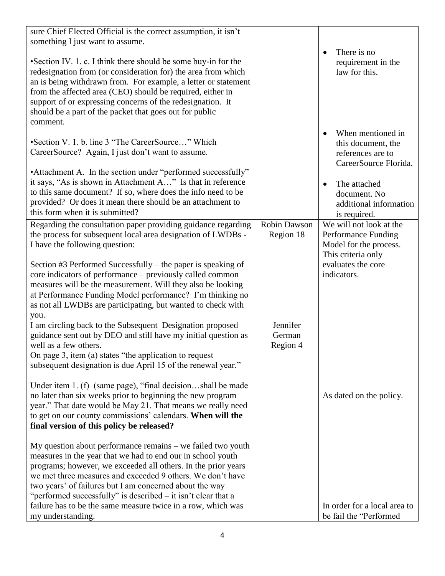| sure Chief Elected Official is the correct assumption, it isn't<br>something I just want to assume.<br>• Section IV. 1. c. I think there should be some buy-in for the<br>redesignation from (or consideration for) the area from which<br>an is being withdrawn from. For example, a letter or statement<br>from the affected area (CEO) should be required, either in<br>support of or expressing concerns of the redesignation. It<br>should be a part of the packet that goes out for public<br>comment.                                                                                                                                                                                                                                                                                                                                                                                                                                                                     |                                  | There is no<br>requirement in the<br>law for this.                                                                                                                           |
|----------------------------------------------------------------------------------------------------------------------------------------------------------------------------------------------------------------------------------------------------------------------------------------------------------------------------------------------------------------------------------------------------------------------------------------------------------------------------------------------------------------------------------------------------------------------------------------------------------------------------------------------------------------------------------------------------------------------------------------------------------------------------------------------------------------------------------------------------------------------------------------------------------------------------------------------------------------------------------|----------------------------------|------------------------------------------------------------------------------------------------------------------------------------------------------------------------------|
| •Section V. 1. b. line 3 "The CareerSource" Which<br>CareerSource? Again, I just don't want to assume.<br>•Attachment A. In the section under "performed successfully"<br>it says, "As is shown in Attachment A" Is that in reference<br>to this same document? If so, where does the info need to be<br>provided? Or does it mean there should be an attachment to<br>this form when it is submitted?                                                                                                                                                                                                                                                                                                                                                                                                                                                                                                                                                                           |                                  | When mentioned in<br>this document, the<br>references are to<br>CareerSource Florida.<br>The attached<br>$\bullet$<br>document. No<br>additional information<br>is required. |
| Regarding the consultation paper providing guidance regarding<br>the process for subsequent local area designation of LWDBs -<br>I have the following question:<br>Section #3 Performed Successfully – the paper is speaking of<br>core indicators of performance – previously called common<br>measures will be the measurement. Will they also be looking<br>at Performance Funding Model performance? I'm thinking no<br>as not all LWDBs are participating, but wanted to check with<br>you.                                                                                                                                                                                                                                                                                                                                                                                                                                                                                 | <b>Robin Dawson</b><br>Region 18 | We will not look at the<br>Performance Funding<br>Model for the process.<br>This criteria only<br>evaluates the core<br>indicators.                                          |
| I am circling back to the Subsequent Designation proposed<br>guidance sent out by DEO and still have my initial question as<br>well as a few others.<br>On page 3, item (a) states "the application to request<br>subsequent designation is due April 15 of the renewal year."<br>Under item 1. (f) (same page), "final decisionshall be made<br>no later than six weeks prior to beginning the new program<br>year." That date would be May 21. That means we really need<br>to get on our county commissions' calendars. When will the<br>final version of this policy be released?<br>My question about performance remains – we failed two youth<br>measures in the year that we had to end our in school youth<br>programs; however, we exceeded all others. In the prior years<br>we met three measures and exceeded 9 others. We don't have<br>two years' of failures but I am concerned about the way<br>"performed successfully" is described $-$ it isn't clear that a | Jennifer<br>German<br>Region 4   | As dated on the policy.                                                                                                                                                      |
| failure has to be the same measure twice in a row, which was<br>my understanding.                                                                                                                                                                                                                                                                                                                                                                                                                                                                                                                                                                                                                                                                                                                                                                                                                                                                                                |                                  | In order for a local area to<br>be fail the "Performed                                                                                                                       |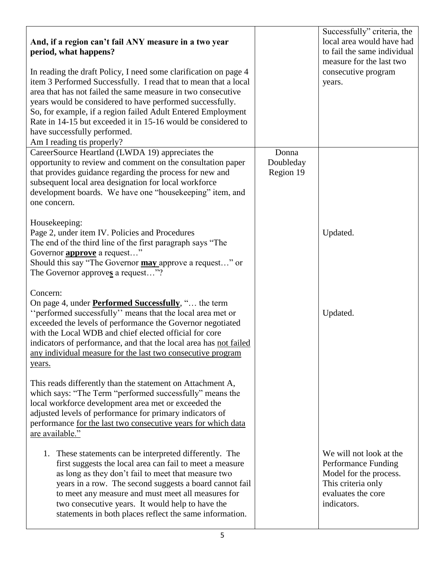| And, if a region can't fail ANY measure in a two year<br>period, what happens?<br>In reading the draft Policy, I need some clarification on page 4<br>item 3 Performed Successfully. I read that to mean that a local<br>area that has not failed the same measure in two consecutive<br>years would be considered to have performed successfully.<br>So, for example, if a region failed Adult Entered Employment<br>Rate in 14-15 but exceeded it in 15-16 would be considered to<br>have successfully performed.<br>Am I reading tis properly? |                                 | Successfully" criteria, the<br>local area would have had<br>to fail the same individual<br>measure for the last two<br>consecutive program<br>years. |
|---------------------------------------------------------------------------------------------------------------------------------------------------------------------------------------------------------------------------------------------------------------------------------------------------------------------------------------------------------------------------------------------------------------------------------------------------------------------------------------------------------------------------------------------------|---------------------------------|------------------------------------------------------------------------------------------------------------------------------------------------------|
| CareerSource Heartland (LWDA 19) appreciates the<br>opportunity to review and comment on the consultation paper<br>that provides guidance regarding the process for new and<br>subsequent local area designation for local workforce<br>development boards. We have one "housekeeping" item, and<br>one concern.                                                                                                                                                                                                                                  | Donna<br>Doubleday<br>Region 19 |                                                                                                                                                      |
| Housekeeping:<br>Page 2, under item IV. Policies and Procedures<br>The end of the third line of the first paragraph says "The<br>Governor <b>approve</b> a request"<br>Should this say "The Governor may approve a request" or<br>The Governor approves a request"?                                                                                                                                                                                                                                                                               |                                 | Updated.                                                                                                                                             |
| Concern:<br>On page 4, under <b>Performed Successfully</b> , " the term<br>"performed successfully" means that the local area met or<br>exceeded the levels of performance the Governor negotiated<br>with the Local WDB and chief elected official for core<br>indicators of performance, and that the local area has not failed<br>any individual measure for the last two consecutive program<br>years.                                                                                                                                        |                                 | Updated.                                                                                                                                             |
| This reads differently than the statement on Attachment A,<br>which says: "The Term "performed successfully" means the<br>local workforce development area met or exceeded the<br>adjusted levels of performance for primary indicators of<br>performance for the last two consecutive years for which data<br>are available."                                                                                                                                                                                                                    |                                 |                                                                                                                                                      |
| 1. These statements can be interpreted differently. The<br>first suggests the local area can fail to meet a measure<br>as long as they don't fail to meet that measure two<br>years in a row. The second suggests a board cannot fail<br>to meet any measure and must meet all measures for<br>two consecutive years. It would help to have the<br>statements in both places reflect the same information.                                                                                                                                        |                                 | We will not look at the<br>Performance Funding<br>Model for the process.<br>This criteria only<br>evaluates the core<br>indicators.                  |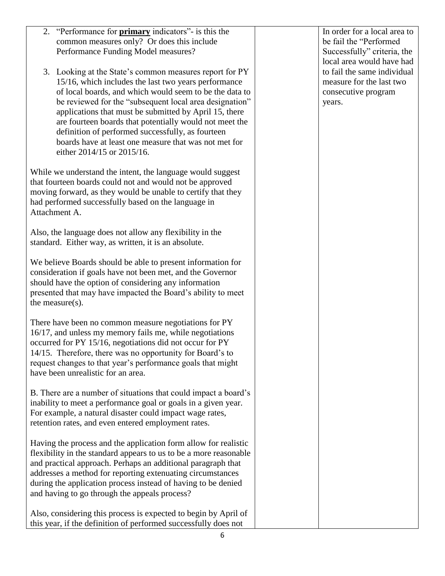| 2. "Performance for <b>primary</b> indicators"- is this the<br>common measures only? Or does this include<br>Performance Funding Model measures?                                                                                                                                                                                                                                                                                                                                                       | In order for a local area to<br>be fail the "Performed<br>Successfully" criteria, the<br>local area would have had |
|--------------------------------------------------------------------------------------------------------------------------------------------------------------------------------------------------------------------------------------------------------------------------------------------------------------------------------------------------------------------------------------------------------------------------------------------------------------------------------------------------------|--------------------------------------------------------------------------------------------------------------------|
| 3. Looking at the State's common measures report for PY<br>15/16, which includes the last two years performance<br>of local boards, and which would seem to be the data to<br>be reviewed for the "subsequent local area designation"<br>applications that must be submitted by April 15, there<br>are fourteen boards that potentially would not meet the<br>definition of performed successfully, as fourteen<br>boards have at least one measure that was not met for<br>either 2014/15 or 2015/16. | to fail the same individual<br>measure for the last two<br>consecutive program<br>years.                           |
| While we understand the intent, the language would suggest<br>that fourteen boards could not and would not be approved<br>moving forward, as they would be unable to certify that they<br>had performed successfully based on the language in<br>Attachment A.                                                                                                                                                                                                                                         |                                                                                                                    |
| Also, the language does not allow any flexibility in the<br>standard. Either way, as written, it is an absolute.                                                                                                                                                                                                                                                                                                                                                                                       |                                                                                                                    |
| We believe Boards should be able to present information for<br>consideration if goals have not been met, and the Governor<br>should have the option of considering any information<br>presented that may have impacted the Board's ability to meet<br>the measure $(s)$ .                                                                                                                                                                                                                              |                                                                                                                    |
| There have been no common measure negotiations for PY<br>16/17, and unless my memory fails me, while negotiations<br>occurred for PY 15/16, negotiations did not occur for PY<br>14/15. Therefore, there was no opportunity for Board's to<br>request changes to that year's performance goals that might<br>have been unrealistic for an area.                                                                                                                                                        |                                                                                                                    |
| B. There are a number of situations that could impact a board's<br>inability to meet a performance goal or goals in a given year.<br>For example, a natural disaster could impact wage rates,<br>retention rates, and even entered employment rates.                                                                                                                                                                                                                                                   |                                                                                                                    |
| Having the process and the application form allow for realistic<br>flexibility in the standard appears to us to be a more reasonable<br>and practical approach. Perhaps an additional paragraph that<br>addresses a method for reporting extenuating circumstances<br>during the application process instead of having to be denied<br>and having to go through the appeals process?                                                                                                                   |                                                                                                                    |
| Also, considering this process is expected to begin by April of<br>this year, if the definition of performed successfully does not                                                                                                                                                                                                                                                                                                                                                                     |                                                                                                                    |